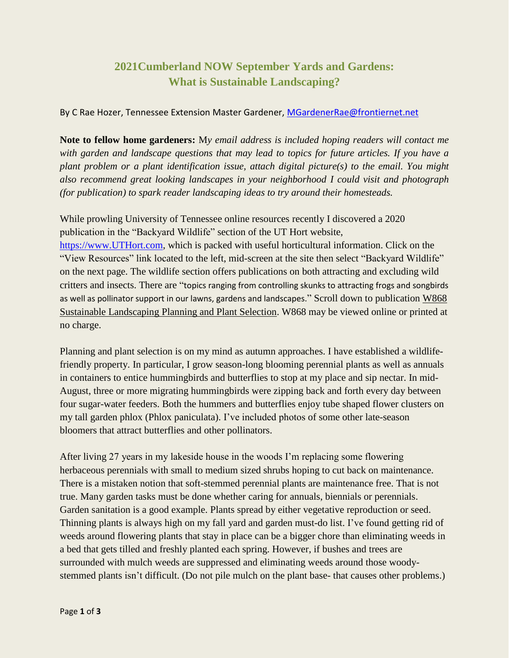## **2021Cumberland NOW September Yards and Gardens: What is Sustainable Landscaping?**

## By C Rae Hozer, Tennessee Extension Master Gardener, [MGardenerRae@frontiernet.net](mailto:MGardenerRae@frontiernet.net)

**Note to fellow home gardeners:** M*y email address is included hoping readers will contact me with garden and landscape questions that may lead to topics for future articles. If you have a plant problem or a plant identification issue, attach digital picture(s) to the email. You might also recommend great looking landscapes in your neighborhood I could visit and photograph (for publication) to spark reader landscaping ideas to try around their homesteads.*

While prowling University of Tennessee online resources recently I discovered a 2020 publication in the "Backyard Wildlife" section of the UT Hort website, [https://www.UTHort.com,](https://www.uthort.com/) which is packed with useful horticultural information. Click on the "View Resources" link located to the left, mid-screen at the site then select "Backyard Wildlife" on the next page. The wildlife section offers publications on both attracting and excluding wild critters and insects. There are "topics ranging from controlling skunks to attracting frogs and songbirds as well as pollinator support in our lawns, gardens and landscapes." Scroll down to publication W868 Sustainable Landscaping Planning and Plant Selection. W868 may be viewed online or printed at no charge.

Planning and plant selection is on my mind as autumn approaches. I have established a wildlifefriendly property. In particular, I grow season-long blooming perennial plants as well as annuals in containers to entice hummingbirds and butterflies to stop at my place and sip nectar. In mid-August, three or more migrating hummingbirds were zipping back and forth every day between four sugar-water feeders. Both the hummers and butterflies enjoy tube shaped flower clusters on my tall garden phlox (Phlox paniculata). I've included photos of some other late-season bloomers that attract butterflies and other pollinators.

After living 27 years in my lakeside house in the woods I'm replacing some flowering herbaceous perennials with small to medium sized shrubs hoping to cut back on maintenance. There is a mistaken notion that soft-stemmed perennial plants are maintenance free. That is not true. Many garden tasks must be done whether caring for annuals, biennials or perennials. Garden sanitation is a good example. Plants spread by either vegetative reproduction or seed. Thinning plants is always high on my fall yard and garden must-do list. I've found getting rid of weeds around flowering plants that stay in place can be a bigger chore than eliminating weeds in a bed that gets tilled and freshly planted each spring. However, if bushes and trees are surrounded with mulch weeds are suppressed and eliminating weeds around those woodystemmed plants isn't difficult. (Do not pile mulch on the plant base- that causes other problems.)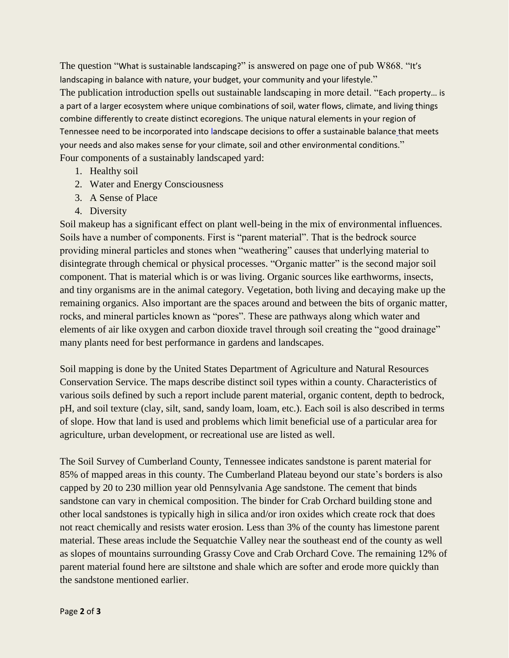The question "What is sustainable landscaping?" is answered on page one of pub W868. "It's landscaping in balance with nature, your budget, your community and your lifestyle." The publication introduction spells out sustainable landscaping in more detail. "Each property… is a part of a larger ecosystem where unique combinations of soil, water flows, climate, and living things combine differently to create distinct ecoregions. The unique natural elements in your region of Tennessee need to be incorporated into landscape decisions to offer a sustainable balance that meets your needs and also makes sense for your climate, soil and other environmental conditions." Four components of a sustainably landscaped yard:

- 1. Healthy soil
- 2. Water and Energy Consciousness
- 3. A Sense of Place
- 4. Diversity

Soil makeup has a significant effect on plant well-being in the mix of environmental influences. Soils have a number of components. First is "parent material". That is the bedrock source providing mineral particles and stones when "weathering" causes that underlying material to disintegrate through chemical or physical processes. "Organic matter" is the second major soil component. That is material which is or was living. Organic sources like earthworms, insects, and tiny organisms are in the animal category. Vegetation, both living and decaying make up the remaining organics. Also important are the spaces around and between the bits of organic matter, rocks, and mineral particles known as "pores". These are pathways along which water and elements of air like oxygen and carbon dioxide travel through soil creating the "good drainage" many plants need for best performance in gardens and landscapes.

Soil mapping is done by the United States Department of Agriculture and Natural Resources Conservation Service. The maps describe distinct soil types within a county. Characteristics of various soils defined by such a report include parent material, organic content, depth to bedrock, pH, and soil texture (clay, silt, sand, sandy loam, loam, etc.). Each soil is also described in terms of slope. How that land is used and problems which limit beneficial use of a particular area for agriculture, urban development, or recreational use are listed as well.

The Soil Survey of Cumberland County, Tennessee indicates sandstone is parent material for 85% of mapped areas in this county. The Cumberland Plateau beyond our state's borders is also capped by 20 to 230 million year old Pennsylvania Age sandstone. The cement that binds sandstone can vary in chemical composition. The binder for Crab Orchard building stone and other local sandstones is typically high in silica and/or iron oxides which create rock that does not react chemically and resists water erosion. Less than 3% of the county has limestone parent material. These areas include the Sequatchie Valley near the southeast end of the county as well as slopes of mountains surrounding Grassy Cove and Crab Orchard Cove. The remaining 12% of parent material found here are siltstone and shale which are softer and erode more quickly than the sandstone mentioned earlier.